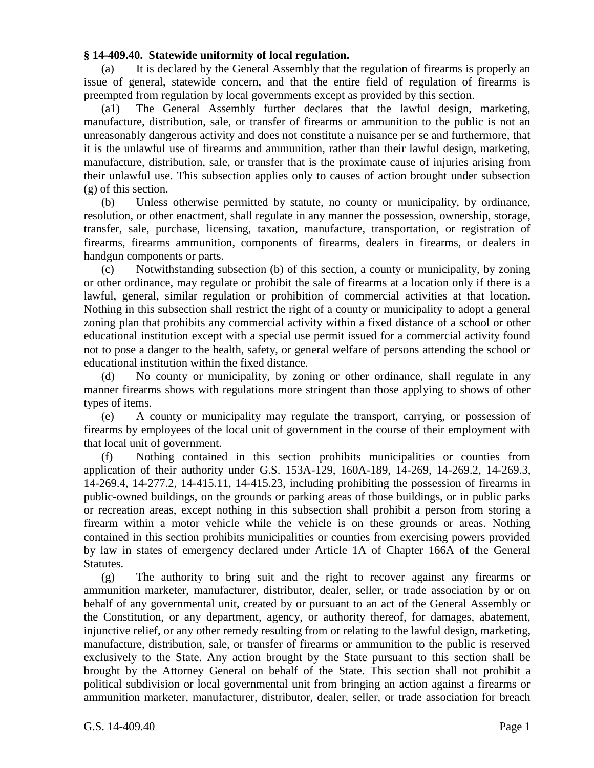## **§ 14-409.40. Statewide uniformity of local regulation.**

(a) It is declared by the General Assembly that the regulation of firearms is properly an issue of general, statewide concern, and that the entire field of regulation of firearms is preempted from regulation by local governments except as provided by this section.

(a1) The General Assembly further declares that the lawful design, marketing, manufacture, distribution, sale, or transfer of firearms or ammunition to the public is not an unreasonably dangerous activity and does not constitute a nuisance per se and furthermore, that it is the unlawful use of firearms and ammunition, rather than their lawful design, marketing, manufacture, distribution, sale, or transfer that is the proximate cause of injuries arising from their unlawful use. This subsection applies only to causes of action brought under subsection (g) of this section.

(b) Unless otherwise permitted by statute, no county or municipality, by ordinance, resolution, or other enactment, shall regulate in any manner the possession, ownership, storage, transfer, sale, purchase, licensing, taxation, manufacture, transportation, or registration of firearms, firearms ammunition, components of firearms, dealers in firearms, or dealers in handgun components or parts.

(c) Notwithstanding subsection (b) of this section, a county or municipality, by zoning or other ordinance, may regulate or prohibit the sale of firearms at a location only if there is a lawful, general, similar regulation or prohibition of commercial activities at that location. Nothing in this subsection shall restrict the right of a county or municipality to adopt a general zoning plan that prohibits any commercial activity within a fixed distance of a school or other educational institution except with a special use permit issued for a commercial activity found not to pose a danger to the health, safety, or general welfare of persons attending the school or educational institution within the fixed distance.

(d) No county or municipality, by zoning or other ordinance, shall regulate in any manner firearms shows with regulations more stringent than those applying to shows of other types of items.

(e) A county or municipality may regulate the transport, carrying, or possession of firearms by employees of the local unit of government in the course of their employment with that local unit of government.

(f) Nothing contained in this section prohibits municipalities or counties from application of their authority under G.S. 153A-129, 160A-189, 14-269, 14-269.2, 14-269.3, 14-269.4, 14-277.2, 14-415.11, 14-415.23, including prohibiting the possession of firearms in public-owned buildings, on the grounds or parking areas of those buildings, or in public parks or recreation areas, except nothing in this subsection shall prohibit a person from storing a firearm within a motor vehicle while the vehicle is on these grounds or areas. Nothing contained in this section prohibits municipalities or counties from exercising powers provided by law in states of emergency declared under Article 1A of Chapter 166A of the General Statutes.

(g) The authority to bring suit and the right to recover against any firearms or ammunition marketer, manufacturer, distributor, dealer, seller, or trade association by or on behalf of any governmental unit, created by or pursuant to an act of the General Assembly or the Constitution, or any department, agency, or authority thereof, for damages, abatement, injunctive relief, or any other remedy resulting from or relating to the lawful design, marketing, manufacture, distribution, sale, or transfer of firearms or ammunition to the public is reserved exclusively to the State. Any action brought by the State pursuant to this section shall be brought by the Attorney General on behalf of the State. This section shall not prohibit a political subdivision or local governmental unit from bringing an action against a firearms or ammunition marketer, manufacturer, distributor, dealer, seller, or trade association for breach